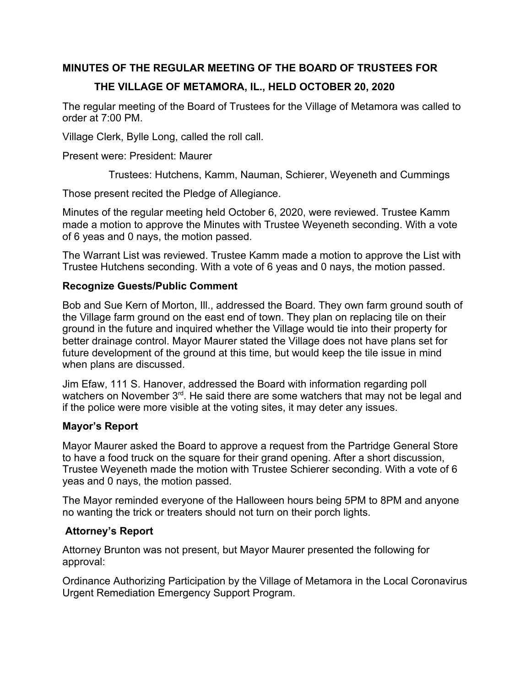## **MINUTES OF THE REGULAR MEETING OF THE BOARD OF TRUSTEES FOR**

## **THE VILLAGE OF METAMORA, IL., HELD OCTOBER 20, 2020**

The regular meeting of the Board of Trustees for the Village of Metamora was called to order at 7:00 PM.

Village Clerk, Bylle Long, called the roll call.

Present were: President: Maurer

Trustees: Hutchens, Kamm, Nauman, Schierer, Weyeneth and Cummings

Those present recited the Pledge of Allegiance.

Minutes of the regular meeting held October 6, 2020, were reviewed. Trustee Kamm made a motion to approve the Minutes with Trustee Weyeneth seconding. With a vote of 6 yeas and 0 nays, the motion passed.

The Warrant List was reviewed. Trustee Kamm made a motion to approve the List with Trustee Hutchens seconding. With a vote of 6 yeas and 0 nays, the motion passed.

### **Recognize Guests/Public Comment**

Bob and Sue Kern of Morton, Ill., addressed the Board. They own farm ground south of the Village farm ground on the east end of town. They plan on replacing tile on their ground in the future and inquired whether the Village would tie into their property for better drainage control. Mayor Maurer stated the Village does not have plans set for future development of the ground at this time, but would keep the tile issue in mind when plans are discussed.

Jim Efaw, 111 S. Hanover, addressed the Board with information regarding poll watchers on November 3<sup>rd</sup>. He said there are some watchers that may not be legal and if the police were more visible at the voting sites, it may deter any issues.

### **Mayor's Report**

Mayor Maurer asked the Board to approve a request from the Partridge General Store to have a food truck on the square for their grand opening. After a short discussion, Trustee Weyeneth made the motion with Trustee Schierer seconding. With a vote of 6 yeas and 0 nays, the motion passed.

The Mayor reminded everyone of the Halloween hours being 5PM to 8PM and anyone no wanting the trick or treaters should not turn on their porch lights.

### **Attorney's Report**

Attorney Brunton was not present, but Mayor Maurer presented the following for approval:

Ordinance Authorizing Participation by the Village of Metamora in the Local Coronavirus Urgent Remediation Emergency Support Program.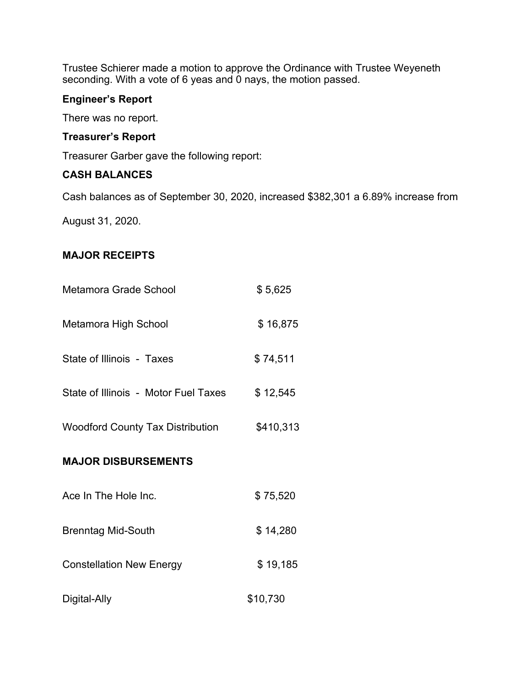Trustee Schierer made a motion to approve the Ordinance with Trustee Weyeneth seconding. With a vote of 6 yeas and 0 nays, the motion passed.

## **Engineer's Report**

There was no report.

# **Treasurer's Report**

Treasurer Garber gave the following report:

## **CASH BALANCES**

Cash balances as of September 30, 2020, increased \$382,301 a 6.89% increase from

August 31, 2020.

## **MAJOR RECEIPTS**

| Metamora Grade School                   | \$5,625   |
|-----------------------------------------|-----------|
| Metamora High School                    | \$16,875  |
| State of Illinois - Taxes               | \$74,511  |
| State of Illinois - Motor Fuel Taxes    | \$12,545  |
| <b>Woodford County Tax Distribution</b> | \$410,313 |
| <b>MAJOR DISBURSEMENTS</b>              |           |
| Ace In The Hole Inc.                    | \$75,520  |
|                                         |           |
| <b>Brenntag Mid-South</b>               | \$14,280  |
| <b>Constellation New Energy</b>         | \$19,185  |